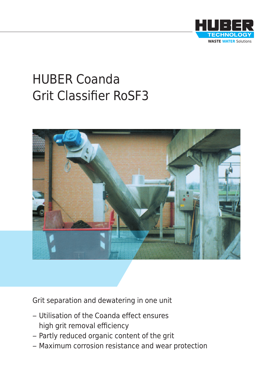

# HUBER Coanda Grit Classifier RoSF3



Grit separation and dewatering in one unit

- Utilisation of the Coanda effect ensures high grit removal efficiency
- Partly reduced organic content of the grit
- Maximum corrosion resistance and wear protection